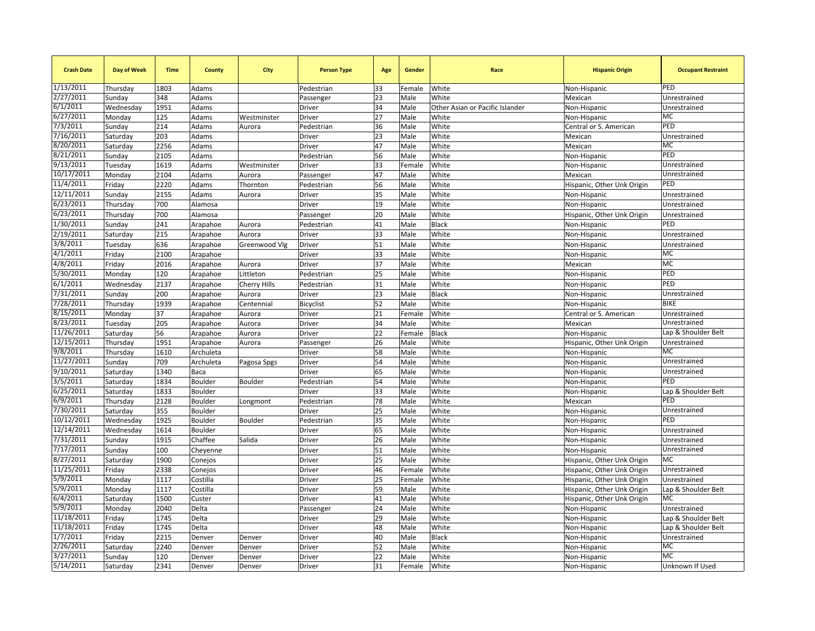| <b>Crash Date</b>     | Day of Week | <b>Time</b>  | <b>County</b> | City          | <b>Person Type</b> | Age      | Gender | Race                            | <b>Hispanic Origin</b>     | <b>Occupant Restraint</b>        |
|-----------------------|-------------|--------------|---------------|---------------|--------------------|----------|--------|---------------------------------|----------------------------|----------------------------------|
| 1/13/2011             | Thursday    | 1803         | Adams         |               | Pedestrian         | 33       | Female | White                           | Non-Hispanic               | PED                              |
| 2/27/2011             | Sunday      | 348          | Adams         |               | Passenger          | 23       | Male   | White                           | Mexican                    | Unrestrained                     |
| 6/1/2011              | Wednesday   | 1951         | Adams         |               | Driver             | 34       | Male   | Other Asian or Pacific Islander | Non-Hispanic               | Unrestrained                     |
| 6/27/2011             | Monday      | 125          | Adams         | Westminster   | Driver             | 27       | Male   | White                           | Non-Hispanic               | MC                               |
| 7/3/2011              | Sunday      | 214          | Adams         | Aurora        | Pedestrian         | 36       | Male   | White                           | Central or S. American     | PED                              |
| 7/16/2011             | Saturday    | 203          | Adams         |               | Driver             | 23       | Male   | White                           | Mexican                    | Unrestrained                     |
| 8/20/2011             | Saturday    | 2256         | Adams         |               | Driver             | 47       | Male   | White                           | Mexican                    | MC                               |
| 8/21/2011             | Sunday      | 2105         | Adams         |               | Pedestrian         | 56       | Male   | White                           | Non-Hispanic               | PED                              |
| 9/13/2011             | Tuesday     | 1619         | Adams         | Westminster   | <b>Driver</b>      | 33       | Female | White                           | Non-Hispanic               | Unrestrained                     |
| 10/17/2011            | Monday      | 2104         | Adams         | Aurora        | Passenger          | 47       | Male   | White                           | Mexican                    | Unrestrained                     |
| 11/4/2011             | Friday      | 2220         | Adams         | Thornton      | Pedestrian         | 56       | Male   | White                           | Hispanic, Other Unk Origin | PED                              |
| 12/11/2011            | Sunday      | 2155         | Adams         | Aurora        | Driver             | 35       | Male   | White                           | Non-Hispanic               | Unrestrained                     |
| 6/23/2011             | Thursday    | 700          | Alamosa       |               | Driver             | 19       | Male   | White                           | Non-Hispanic               | Unrestrained                     |
| 6/23/2011             | Thursday    | 700          | Alamosa       |               | Passenger          | 20       | Male   | White                           | Hispanic, Other Unk Origin | Unrestrained                     |
| 1/30/2011             | Sunday      | 241          | Arapahoe      | Aurora        | Pedestrian         | 41       | Male   | Black                           | Non-Hispanic               | PED                              |
| 2/19/2011             | Saturday    | 215          | Arapahoe      | Aurora        | Driver             | 33       | Male   | White                           | Non-Hispanic               | Unrestrained                     |
| 3/8/2011              | Tuesday     | 636          | Arapahoe      | Greenwood Vlg | Driver             | 51       | Male   | White                           | Non-Hispanic               | Unrestrained                     |
| 4/1/2011              | Friday      | 2100         | Arapahoe      |               | Driver             | 33       | Male   | White                           | Non-Hispanic               | MC                               |
| 4/8/2011              | Friday      | 2016         | Arapahoe      | Aurora        | Driver             | 37       | Male   | White                           | Mexican                    | MC                               |
| 5/30/2011             | Monday      | 120          | Arapahoe      | Littleton     | Pedestrian         | 25       | Male   | White                           | Non-Hispanic               | PED                              |
| 6/1/2011              | Wednesday   | 2137         | Arapahoe      | Cherry Hills  | Pedestrian         | 31       | Male   | White                           | Non-Hispanic               | PED                              |
| 7/31/2011             | Sunday      | 200          | Arapahoe      | Aurora        | Driver             | 23       | Male   | Black                           | Non-Hispanic               | Unrestrained                     |
| 7/28/2011             | Thursday    | 1939         | Arapahoe      | Centennial    | Bicyclist          | 52       | Male   | White                           | Non-Hispanic               | <b>BIKE</b>                      |
| 8/15/2011             | Monday      | 37           | Arapahoe      | Aurora        | Driver             | 21       | Female | White                           | Central or S. American     | Unrestrained                     |
| 8/23/2011             | Tuesday     | 205          | Arapahoe      | Aurora        | Driver             | 34       | Male   | White                           | Mexican                    | Unrestrained                     |
| 11/26/2011            | Saturday    | 56           | Arapahoe      | Aurora        | Driver             | 22       | Female | Black                           | Non-Hispanic               | Lap & Shoulder Belt              |
| 12/15/2011            | Thursday    | 1951         | Arapahoe      | Aurora        | Passenger          | 26       | Male   | White                           | Hispanic, Other Unk Origin | Unrestrained                     |
| 9/8/2011              | Thursday    | 1610         | Archuleta     |               | Driver             | 58       | Male   | White                           | Non-Hispanic               | <b>MC</b>                        |
| 11/27/2011            | Sunday      | 709          | Archuleta     | Pagosa Spgs   | Driver             | 54       | Male   | White                           | Non-Hispanic               | Unrestrained                     |
| 9/10/2011             | Saturday    | 1340         | Baca          |               | Driver             | 65       | Male   | White                           | Non-Hispanic               | Unrestrained                     |
| 3/5/2011              | Saturday    | 1834         | Boulder       | Boulder       | Pedestrian         | 54       | Male   | White                           | Non-Hispanic               | PED                              |
| 6/25/2011             | Saturday    | 1833         | Boulder       |               | Driver             | 33       | Male   | White                           | Non-Hispanic               | Lap & Shoulder Belt              |
| 6/9/2011              | Thursday    | 2128         | Boulder       | Longmont      | Pedestrian         | 78       | Male   | White                           | Mexican                    | PED                              |
| 7/30/2011             | Saturday    | 355          | Boulder       |               | Driver             | 25       | Male   | White                           | Non-Hispanic               | Unrestrained                     |
| 10/12/2011            | Wednesday   | 1925         | Boulder       | Boulder       | Pedestrian         | 35       | Male   | White                           | Non-Hispanic               | PED                              |
| 12/14/2011            | Wednesday   | 1614         | Boulder       |               | Driver             | 65       | Male   | White                           | Non-Hispanic               | Unrestrained                     |
| 7/31/2011             | Sunday      | 1915         | Chaffee       | Salida        | Driver             | 26       | Male   | White                           | Non-Hispanic               | Unrestrained                     |
| 7/17/2011             | Sunday      | 100          |               |               | Driver             | 51       | Male   | White                           |                            | Unrestrained                     |
| 8/27/2011             |             | 1900         | Cheyenne      |               | Driver             | 25       | Male   | White                           | Non-Hispanic               | MC                               |
| 11/25/2011            | Saturday    |              | Conejos       |               |                    |          |        |                                 | Hispanic, Other Unk Origin | Unrestrained                     |
| 5/9/2011              | Friday      | 2338<br>1117 | Conejos       |               | Driver             | 46<br>25 | Female | White                           | Hispanic, Other Unk Origin |                                  |
| 5/9/2011              | Monday      |              | Costilla      |               | Driver             |          | Female | White                           | Hispanic, Other Unk Origin | Unrestrained                     |
| 6/4/2011              | Monday      | 1117         | Costilla      |               | Driver             | 59       | Male   | White                           | Hispanic, Other Unk Origin | Lap & Shoulder Belt<br><b>MC</b> |
|                       | Saturday    | 1500         | Custer        |               | Driver             | 41       | Male   | White                           | Hispanic, Other Unk Origin |                                  |
| 5/9/2011              | Monday      | 2040         | Delta         |               | Passenger          | 24       | Male   | White                           | Non-Hispanic               | Unrestrained                     |
| 11/18/2011            | Friday      | 1745         | Delta         |               | Driver             | 29       | Male   | White                           | Non-Hispanic               | Lap & Shoulder Belt              |
| 11/18/2011            | Friday      | 1745         | Delta         |               | Driver             | 48       | Male   | White                           | Non-Hispanic               | Lap & Shoulder Belt              |
| 1/7/2011<br>2/26/2011 | Friday      | 2215         | Denver        | Denver        | Driver             | 40       | Male   | Black                           | Non-Hispanic               | Unrestrained<br>МC               |
| 3/27/2011             | Saturday    | 2240         | Denver        | Denver        | Driver             | 52       | Male   | White                           | Non-Hispanic               | <b>MC</b>                        |
|                       | Sunday      | 120          | Denver        | Denver        | Driver             | 22       | Male   | White                           | Non-Hispanic               |                                  |
| 5/14/2011             | Saturday    | 2341         | Denver        | Denver        | Driver             | 31       | Female | White                           | Non-Hispanic               | Unknown If Used                  |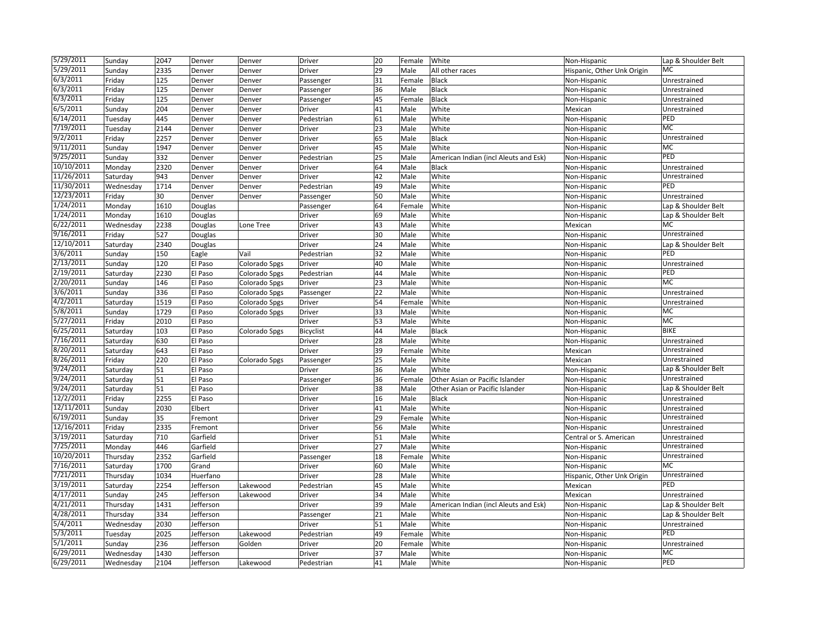| 5/29/2011  | Sunday                | 2047 | Denver    | Denver        | Driver              | 20 | Female | White                                 | Non-Hispanic                 | Lap & Shoulder Belt                 |
|------------|-----------------------|------|-----------|---------------|---------------------|----|--------|---------------------------------------|------------------------------|-------------------------------------|
| 5/29/2011  | Sunday                | 2335 | Denver    | Denver        | Driver              | 29 | Male   | All other races                       | Hispanic, Other Unk Origin   | <b>MC</b>                           |
| 6/3/2011   | Friday                | 125  | Denver    | Denver        | Passenger           | 31 | Female | Black                                 | Non-Hispanic                 | Unrestrained                        |
| 6/3/2011   | Friday                | 125  | Denver    | Denver        | Passenger           | 36 | Male   | Black                                 | Non-Hispanic                 | Unrestrained                        |
| 6/3/2011   | Friday                | 125  | Denver    | Denver        | Passenger           | 45 | Female | Black                                 | Non-Hispanic                 | Unrestrained                        |
| 6/5/2011   | Sunday                | 204  | Denver    | Denver        | Driver              | 41 | Male   | White                                 | Mexican                      | Unrestrained                        |
| 6/14/2011  | Tuesday               | 445  | Denver    | Denver        | Pedestrian          | 61 | Male   | White                                 | Non-Hispanic                 | PED                                 |
| 7/19/2011  | Tuesday               | 2144 | Denver    | Denver        | Driver              | 23 | Male   | White                                 | Non-Hispanic                 | MC                                  |
| 9/2/2011   | Friday                | 2257 | Denver    | Denver        | Driver              | 65 | Male   | Black                                 | Non-Hispanic                 | Unrestrained                        |
| 9/11/2011  | Sunday                | 1947 | Denver    | Denver        | Driver              | 45 | Male   | White                                 | Non-Hispanic                 | MC                                  |
| 9/25/2011  | Sunday                | 332  | Denver    | Denver        | Pedestrian          | 25 | Male   | American Indian (incl Aleuts and Esk) | Non-Hispanic                 | PED                                 |
| 10/10/2011 | Monday                | 2320 | Denver    | Denver        | Driver              | 64 | Male   | Black                                 | Non-Hispanic                 | Unrestrained                        |
| 11/26/2011 | Saturday              | 943  | Denver    | Denver        | Driver              | 42 | Male   | White                                 | Non-Hispanic                 | Unrestrained                        |
| 11/30/2011 | Wednesday             | 1714 | Denver    | Denver        | Pedestrian          | 49 | Male   | White                                 | Non-Hispanic                 | PED                                 |
| 12/23/2011 | Friday                | 30   | Denver    | Denver        | Passenger           | 50 | Male   | White                                 | Non-Hispanic                 | Unrestrained                        |
| 1/24/2011  | Monday                | 1610 | Douglas   |               | Passenger           | 64 | Female | White                                 | Non-Hispanic                 | Lap & Shoulder Belt                 |
| 1/24/2011  | Monday                | 1610 | Douglas   |               | Driver              | 69 | Male   | White                                 | Non-Hispanic                 | Lap & Shoulder Belt                 |
| 6/22/2011  | Wednesday             | 2238 | Douglas   | Lone Tree     | Driver              | 43 | Male   | White                                 | Mexican                      | MC                                  |
| 9/16/2011  | Friday                | 527  | Douglas   |               | Driver              | 30 | Male   | White                                 | Non-Hispanic                 | Unrestrained                        |
| 12/10/2011 | Saturday              | 2340 | Douglas   |               | Driver              | 24 | Male   | White                                 | Non-Hispanic                 | Lap & Shoulder Belt                 |
| 3/6/2011   | Sunday                | 150  | Eagle     | Vail          | Pedestrian          | 32 | Male   | White                                 | Non-Hispanic                 | PED                                 |
| 2/13/2011  | Sunday                | 120  | El Paso   | Colorado Spgs | Driver              | 40 | Male   | White                                 | Non-Hispanic                 | Unrestrained                        |
| 2/19/2011  | Saturday              | 2230 | El Paso   | Colorado Spgs | Pedestrian          | 44 | Male   | White                                 | Non-Hispanic                 | PED                                 |
| 2/20/2011  | Sunday                | 146  | El Paso   | Colorado Spgs | Driver              | 23 | Male   | White                                 | Non-Hispanic                 | MC                                  |
| 3/6/2011   | Sunday                | 336  | El Paso   | Colorado Spgs | Passenger           | 22 | Male   | White                                 | Non-Hispanic                 | Unrestrained                        |
| 4/2/2011   | Saturday              | 1519 | El Paso   | Colorado Spgs | Driver              | 54 | Female | White                                 | Non-Hispanic                 | Unrestrained                        |
| 5/8/2011   | Sunday                | 1729 | El Paso   | Colorado Spgs | Driver              | 33 | Male   | White                                 | Non-Hispanic                 | MC                                  |
| 5/27/2011  | Friday                | 2010 | El Paso   |               | Driver              | 53 | Male   | White                                 | Non-Hispanic                 | MC                                  |
| 6/25/2011  | Saturday              | 103  | El Paso   | Colorado Spgs | Bicyclist           | 44 | Male   | Black                                 | Non-Hispanic                 | <b>BIKE</b>                         |
| 7/16/2011  | Saturday              | 630  | El Paso   |               | Driver              | 28 | Male   | White                                 | Non-Hispanic                 | Unrestrained                        |
| 8/20/2011  | Saturday              | 643  | El Paso   |               | Driver              | 39 | Female | White                                 | Mexican                      | Unrestrained                        |
| 8/26/2011  | Friday                | 220  | El Paso   | Colorado Spgs | Passenger           | 25 | Male   | White                                 | Mexican                      | Unrestrained                        |
| 9/24/2011  | Saturday              | 51   | El Paso   |               | Driver              | 36 | Male   | White                                 | Non-Hispanic                 | Lap & Shoulder Belt                 |
| 9/24/2011  | Saturday              | 51   | El Paso   |               | Passenger           | 36 | Female | Other Asian or Pacific Islander       | Non-Hispanic                 | Unrestrained                        |
| 9/24/2011  | Saturday              | 51   | El Paso   |               | Driver              | 38 | Male   | Other Asian or Pacific Islander       | Non-Hispanic                 | Lap & Shoulder Belt                 |
| 12/2/2011  | Friday                | 2255 | El Paso   |               | Driver              | 16 | Male   | Black                                 | Non-Hispanic                 | Unrestrained                        |
| 12/11/2011 | Sunday                | 2030 | Elbert    |               | Driver              | 41 | Male   | White                                 | Non-Hispanic                 | Unrestrained                        |
| 6/19/2011  | Sunday                | 35   | Fremont   |               | Driver              | 29 | Female | White                                 | Non-Hispanic                 | Unrestrained                        |
| 12/16/2011 | Friday                | 2335 | Fremont   |               | Driver              | 56 | Male   | White                                 | Non-Hispanic                 | Unrestrained                        |
| 3/19/2011  | Saturday              | 710  | Garfield  |               | Driver              | 51 | Male   | White                                 | Central or S. American       | Unrestrained                        |
| 7/25/2011  | Monday                | 446  | Garfield  |               | Driver              | 27 | Male   | White                                 | Non-Hispanic                 | Unrestrained                        |
| 10/20/2011 | Thursday              | 2352 | Garfield  |               | Passenger           | 18 | Female | White                                 | Non-Hispanic                 | Unrestrained                        |
| 7/16/2011  | Saturday              | 1700 | Grand     |               | Driver              | 60 | Male   | White                                 | Non-Hispanic                 | MC                                  |
| 7/21/2011  | Thursday              | 1034 | Huerfano  |               | Driver              | 28 | Male   | White                                 | Hispanic, Other Unk Origin   | Unrestrained                        |
| 3/19/2011  | Saturday              | 2254 | Jefferson | Lakewood      | Pedestrian          | 45 | Male   | White                                 | Mexican                      | PED                                 |
| 4/17/2011  |                       | 245  | Jefferson | Lakewood      | Driver              | 34 | Male   | White                                 |                              | Unrestrained                        |
| 4/21/2011  | Sunday<br>Thursday    | 1431 | Jefferson |               | Driver              | 39 | Male   | American Indian (incl Aleuts and Esk) | Mexican<br>Non-Hispanic      | Lap & Shoulder Belt                 |
| 4/28/2011  |                       | 334  | Jefferson |               |                     | 21 | Male   | White                                 |                              |                                     |
| 5/4/2011   | Thursday<br>Wednesday | 2030 | Jefferson |               | Passenger<br>Driver | 51 | Male   | White                                 | Non-Hispanic<br>Non-Hispanic | Lap & Shoulder Belt<br>Unrestrained |
| 5/3/2011   | Tuesday               | 2025 | Jefferson | Lakewood      | Pedestrian          | 49 | Female | White                                 | Non-Hispanic                 | PED                                 |
| 5/1/2011   | Sunday                | 236  | Jefferson | Golden        | Driver              | 20 | Female | White                                 | Non-Hispanic                 | Unrestrained                        |
| 6/29/2011  | Wednesday             | 1430 | Jefferson |               | Driver              | 37 | Male   | White                                 | Non-Hispanic                 | MC                                  |
| 6/29/2011  |                       | 2104 |           |               |                     |    | Male   |                                       |                              | PED                                 |
|            | Wednesday             |      | Jefferson | Lakewood      | Pedestrian          | 41 |        | White                                 | Non-Hispanic                 |                                     |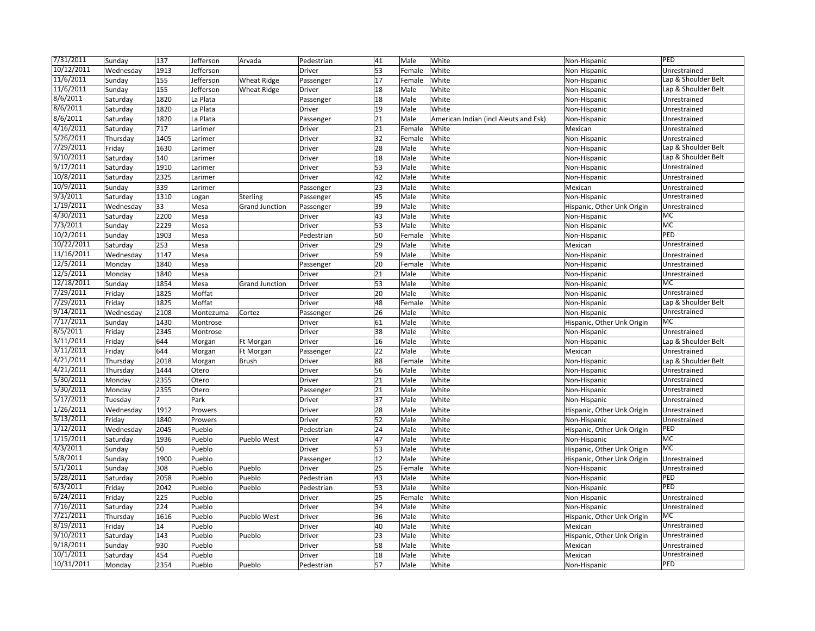| 7/31/2011              | Sunday    | 137            | Jefferson | Arvada                | Pedestrian | 41 | Male   | White                                 | Non-Hispanic               | PED                 |
|------------------------|-----------|----------------|-----------|-----------------------|------------|----|--------|---------------------------------------|----------------------------|---------------------|
| 10/12/2011             | Wednesday | 1913           | Jefferson |                       | Driver     | 53 | Female | White                                 | Non-Hispanic               | Unrestrained        |
| 11/6/2011              | Sunday    | 155            | Jefferson | <b>Wheat Ridge</b>    | Passenger  | 17 | Female | White                                 | Non-Hispanic               | Lap & Shoulder Belt |
| 11/6/2011              | Sunday    | 155            | Jefferson | <b>Wheat Ridge</b>    | Driver     | 18 | Male   | White                                 | Non-Hispanic               | Lap & Shoulder Belt |
| 8/6/2011               | Saturday  | 1820           | La Plata  |                       | Passenger  | 18 | Male   | White                                 | Non-Hispanic               | Unrestrained        |
| 8/6/2011               | Saturday  | 1820           | La Plata  |                       | Driver     | 19 | Male   | White                                 | Non-Hispanic               | Unrestrained        |
| 8/6/2011               | Saturday  | 1820           | La Plata  |                       | Passenger  | 21 | Male   | American Indian (incl Aleuts and Esk) | Non-Hispanic               | Unrestrained        |
| 4/16/2011              | Saturday  | 717            | Larimer   |                       | Driver     | 21 | Female | White                                 | Mexican                    | Unrestrained        |
| 5/26/2011              | Thursday  | 1405           | Larimer   |                       | Driver     | 32 | Female | White                                 | Non-Hispanic               | Unrestrained        |
| 7/29/2011              | Friday    | 1630           | Larimer   |                       | Driver     | 28 | Male   | White                                 | Non-Hispanic               | Lap & Shoulder Belt |
| 9/10/2011              | Saturday  | 140            | Larimer   |                       | Driver     | 18 | Male   | White                                 | Non-Hispanic               | Lap & Shoulder Belt |
| 9/17/2011              | Saturday  | 1910           | Larimer   |                       | Driver     | 53 | Male   | White                                 | Non-Hispanic               | Unrestrained        |
| 10/8/2011              | Saturday  | 2325           | Larimer   |                       | Driver     | 42 | Male   | White                                 | Non-Hispanic               | Unrestrained        |
| 10/9/2011              | Sunday    | 339            | Larimer   |                       | Passenger  | 23 | Male   | White                                 | Mexican                    | Unrestrained        |
| 9/3/2011               | Saturday  | 1310           | Logan     | Sterling              | Passenger  | 45 | Male   | White                                 | Non-Hispanic               | Unrestrained        |
| $1/\overline{19/2011}$ | Wednesday | 33             | Mesa      | <b>Grand Junction</b> | Passenger  | 39 | Male   | White                                 | Hispanic, Other Unk Origin | Unrestrained        |
| 4/30/2011              | Saturday  | 2200           | Mesa      |                       | Driver     | 43 | Male   | White                                 | Non-Hispanic               | MC                  |
| 7/3/2011               | Sunday    | 2229           | Mesa      |                       | Driver     | 53 | Male   | White                                 | Non-Hispanic               | MC                  |
| 10/2/2011              | Sunday    | 1903           | Mesa      |                       | Pedestrian | 50 | Female | White                                 | Non-Hispanic               | PED                 |
| 10/22/2011             | Saturday  | 253            | Mesa      |                       | Driver     | 29 | Male   | White                                 | Mexican                    | Unrestrained        |
| 11/16/2011             | Wednesday | 1147           | Mesa      |                       | Driver     | 59 | Male   | White                                 | Non-Hispanic               | Unrestrained        |
| 12/5/2011              | Monday    | 1840           | Mesa      |                       | Passenger  | 20 | Female | White                                 | Non-Hispanic               | Unrestrained        |
| 12/5/2011              | Monday    | 1840           | Mesa      |                       | Driver     | 21 | Male   | White                                 | Non-Hispanic               | Unrestrained        |
| 12/18/2011             | Sunday    | 1854           | Mesa      | <b>Grand Junction</b> | Driver     | 53 | Male   | White                                 | Non-Hispanic               | MC                  |
| 7/29/2011              | Friday    | 1825           | Moffat    |                       | Driver     | 20 | Male   | White                                 | Non-Hispanic               | Unrestrained        |
| 7/29/2011              | Friday    | 1825           | Moffat    |                       | Driver     | 48 | Female | White                                 | Non-Hispanic               | Lap & Shoulder Belt |
| 9/14/2011              | Wednesday | 2108           | Montezuma | Cortez                | Passenger  | 26 | Male   | White                                 | Non-Hispanic               | Unrestrained        |
| 7/17/2011              | Sunday    | 1430           | Montrose  |                       | Driver     | 61 | Male   | White                                 | Hispanic, Other Unk Origin | MC                  |
| 8/5/2011               | Friday    | 2345           | Montrose  |                       | Driver     | 38 | Male   | White                                 | Non-Hispanic               | Unrestrained        |
| 3/11/2011              | Friday    | 644            | Morgan    | Ft Morgan             | Driver     | 16 | Male   | White                                 | Non-Hispanic               | Lap & Shoulder Belt |
| 3/11/2011              | Friday    | 644            | Morgan    | Ft Morgan             | Passenger  | 22 | Male   | White                                 | Mexican                    | Unrestrained        |
| 4/21/2011              | Thursday  | 2018           | Morgan    | Brush                 | Driver     | 88 | Female | White                                 | Non-Hispanic               | Lap & Shoulder Belt |
| 4/21/2011              | Thursday  | 1444           | Otero     |                       | Driver     | 56 | Male   | White                                 | Non-Hispanic               | Unrestrained        |
| 5/30/2011              | Monday    | 2355           | Otero     |                       | Driver     | 21 | Male   | White                                 | Non-Hispanic               | Unrestrained        |
| 5/30/2011              | Monday    | 2355           | Otero     |                       | Passenger  | 21 | Male   | White                                 | Non-Hispanic               | Unrestrained        |
| 5/17/2011              | Tuesday   | $\overline{7}$ | Park      |                       | Driver     | 37 | Male   | White                                 | Non-Hispanic               | Unrestrained        |
| 1/26/2011              | Wednesday | 1912           | Prowers   |                       | Driver     | 28 | Male   | White                                 | Hispanic, Other Unk Origin | Unrestrained        |
| 5/13/2011              | Friday    | 1840           | Prowers   |                       | Driver     | 52 | Male   | White                                 | Non-Hispanic               | Unrestrained        |
| 1/12/2011              | Wednesday | 2045           | Pueblo    |                       | Pedestrian | 24 | Male   | White                                 | Hispanic, Other Unk Origin | PED                 |
| 1/15/2011              | Saturday  | 1936           | Pueblo    | Pueblo West           | Driver     | 47 | Male   | White                                 | Non-Hispanic               | MC                  |
| 4/3/2011               | Sunday    | 50             | Pueblo    |                       | Driver     | 53 | Male   | White                                 | Hispanic, Other Unk Origin | MC                  |
| 5/8/2011               | Sunday    | 1900           | Pueblo    |                       | Passenger  | 12 | Male   | White                                 | Hispanic, Other Unk Origin | Unrestrained        |
| 5/1/2011               | Sunday    | 308            | Pueblo    | Pueblo                | Driver     | 25 | Female | White                                 | Non-Hispanic               | Unrestrained        |
| 5/28/2011              | Saturday  | 2058           | Pueblo    | Pueblo                | Pedestrian | 43 | Male   | White                                 | Non-Hispanic               | PED                 |
| 6/3/2011               | Friday    | 2042           | Pueblo    | Pueblo                | Pedestrian | 53 | Male   | White                                 | Non-Hispanic               | PED                 |
| 6/24/2011              | Friday    | 225            | Pueblo    |                       | Driver     | 25 | Female | White                                 | Non-Hispanic               | Unrestrained        |
| 7/16/2011              | Saturday  | 224            | Pueblo    |                       | Driver     | 34 | Male   | White                                 | Non-Hispanic               | Unrestrained        |
| 7/21/2011              | Thursday  | 1616           | Pueblo    | Pueblo West           | Driver     | 36 | Male   | White                                 | Hispanic, Other Unk Origin | MC                  |
| 8/19/2011              | Friday    | 14             | Pueblo    |                       | Driver     | 40 | Male   | White                                 | Mexican                    | Unrestrained        |
| 9/10/2011              | Saturday  | 143            | Pueblo    | Pueblo                | Driver     | 23 | Male   | White                                 | Hispanic, Other Unk Origin | Unrestrained        |
| 9/18/2011              | Sunday    | 930            | Pueblo    |                       | Driver     | 58 | Male   | White                                 | Mexican                    | Unrestrained        |
| 10/1/2011              | Saturday  | 454            | Pueblo    |                       | Driver     | 18 | Male   | White                                 | Mexican                    | Unrestrained        |
| 10/31/2011             | Monday    | 2354           | Pueblo    | Pueblo                | Pedestrian | 57 | Male   | White                                 | Non-Hispanic               | PED                 |
|                        |           |                |           |                       |            |    |        |                                       |                            |                     |